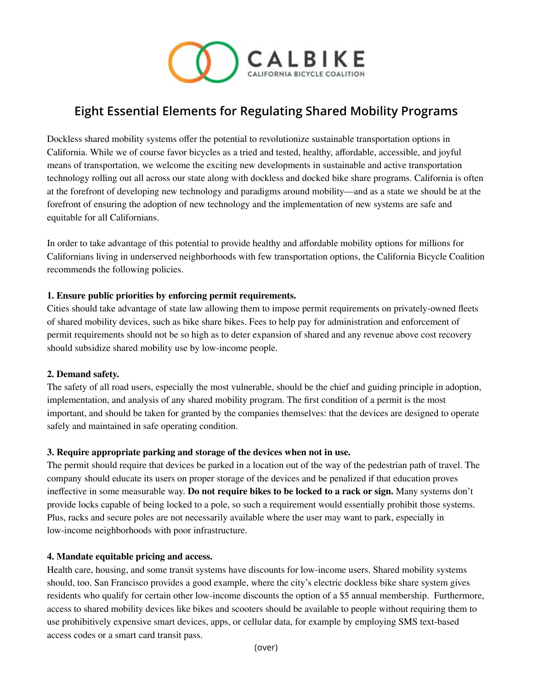

# **Eight Essential Elements for Regulating Shared Mobility Programs**

Dockless shared mobility systems offer the potential to revolutionize sustainable transportation options in California. While we of course favor bicycles as a tried and tested, healthy, affordable, accessible, and joyful means of transportation, we welcome the exciting new developments in sustainable and active transportation technology rolling out all across our state along with dockless and docked bike share programs. California is often at the forefront of developing new technology and paradigms around mobility—and as a state we should be at the forefront of ensuring the adoption of new technology and the implementation of new systems are safe and equitable for all Californians.

In order to take advantage of this potential to provide healthy and affordable mobility options for millions for Californians living in underserved neighborhoods with few transportation options, the California Bicycle Coalition recommends the following policies.

# **1. Ensure public priorities by enforcing permit requirements.**

Cities should take advantage of state law allowing them to impose permit requirements on privately-owned fleets of shared mobility devices, such as bike share bikes. Fees to help pay for administration and enforcement of permit requirements should not be so high as to deter expansion of shared and any revenue above cost recovery should subsidize shared mobility use by low-income people.

# **2. Demand safety.**

The safety of all road users, especially the most vulnerable, should be the chief and guiding principle in adoption, implementation, and analysis of any shared mobility program. The first condition of a permit is the most important, and should be taken for granted by the companies themselves: that the devices are designed to operate safely and maintained in safe operating condition.

# **3. Require appropriate parking and storage of the devices when not in use.**

The permit should require that devices be parked in a location out of the way of the pedestrian path of travel. The company should educate its users on proper storage of the devices and be penalized if that education proves ineffective in some measurable way. **Do not require bikes to be locked to a rack or sign.** Many systems don't provide locks capable of being locked to a pole, so such a requirement would essentially prohibit those systems. Plus, racks and secure poles are not necessarily available where the user may want to park, especially in low-income neighborhoods with poor infrastructure.

#### **4. Mandate equitable pricing and access.**

Health care, housing, and some transit systems have discounts for low-income users. Shared mobility systems should, too. San Francisco provides a good example, where the city's electric dockless bike share system gives residents who qualify for certain other low-income discounts the option of a \$5 annual membership. Furthermore, access to shared mobility devices like bikes and scooters should be available to people without requiring them to use prohibitively expensive smart devices, apps, or cellular data, for example by employing SMS text-based access codes or a smart card transit pass.